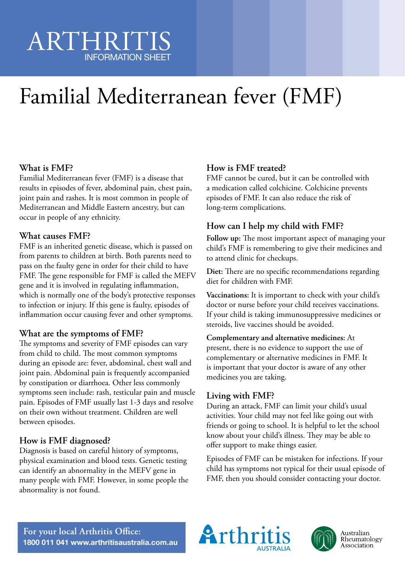## ARTHRITIS INFORMATION SHEET

# Familial Mediterranean fever (FMF)

#### **What is FMF?**

Familial Mediterranean fever (FMF) is a disease that results in episodes of fever, abdominal pain, chest pain, joint pain and rashes. It is most common in people of Mediterranean and Middle Eastern ancestry, but can occur in people of any ethnicity.

#### **What causes FMF?**

FMF is an inherited genetic disease, which is passed on from parents to children at birth. Both parents need to pass on the faulty gene in order for their child to have FMF. The gene responsible for FMF is called the MEFV gene and it is involved in regulating inflammation, which is normally one of the body's protective responses to infection or injury. If this gene is faulty, episodes of inflammation occur causing fever and other symptoms.

#### **What are the symptoms of FMF?**

The symptoms and severity of FMF episodes can vary from child to child. The most common symptoms during an episode are: fever, abdominal, chest wall and joint pain. Abdominal pain is frequently accompanied by constipation or diarrhoea. Other less commonly symptoms seen include: rash, testicular pain and muscle pain. Episodes of FMF usually last 1-3 days and resolve on their own without treatment. Children are well between episodes.

#### **How is FMF diagnosed?**

Diagnosis is based on careful history of symptoms, physical examination and blood tests. Genetic testing can identify an abnormality in the MEFV gene in many people with FMF. However, in some people the abnormality is not found.

### **How is FMF treated?**

FMF cannot be cured, but it can be controlled with a medication called colchicine. Colchicine prevents episodes of FMF. It can also reduce the risk of long-term complications.

#### **How can I help my child with FMF?**

**Follow up:** The most important aspect of managing your child's FMF is remembering to give their medicines and to attend clinic for checkups.

**Diet:** There are no specific recommendations regarding diet for children with FMF.

**Vaccinations:** It is important to check with your child's doctor or nurse before your child receives vaccinations. If your child is taking immunosuppressive medicines or steroids, live vaccines should be avoided.

#### **Complementary and alternative medicines:** At present, there is no evidence to support the use of

complementary or alternative medicines in FMF. It is important that your doctor is aware of any other medicines you are taking.

#### **Living with FMF?**

During an attack, FMF can limit your child's usual activities. Your child may not feel like going out with friends or going to school. It is helpful to let the school know about your child's illness. They may be able to offer support to make things easier.

Episodes of FMF can be mistaken for infections. If your child has symptoms not typical for their usual episode of FMF, then you should consider contacting your doctor.